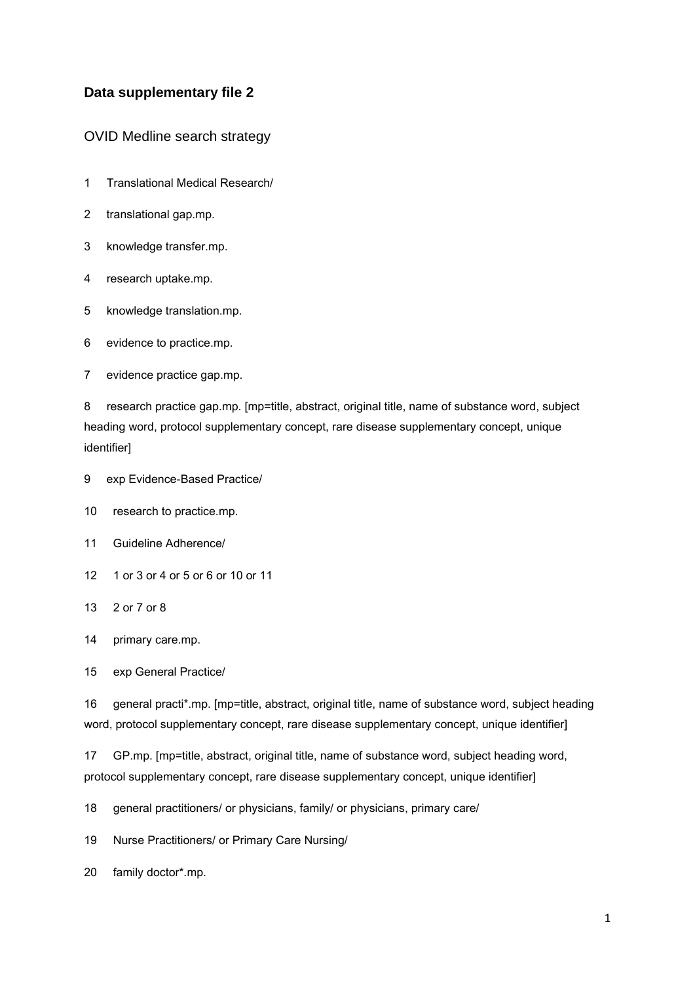## **Data supplementary file 2**

OVID Medline search strategy

- 1 Translational Medical Research/
- 2 translational gap.mp.
- 3 knowledge transfer.mp.
- 4 research uptake.mp.
- 5 knowledge translation.mp.
- 6 evidence to practice.mp.
- 7 evidence practice gap.mp.

8 research practice gap.mp. [mp=title, abstract, original title, name of substance word, subject heading word, protocol supplementary concept, rare disease supplementary concept, unique identifier]

- 9 exp Evidence-Based Practice/
- 10 research to practice.mp.
- 11 Guideline Adherence/
- 12 1 or 3 or 4 or 5 or 6 or 10 or 11
- 13 2 or 7 or 8
- 14 primary care.mp.

15 exp General Practice/

16 general practi\*.mp. [mp=title, abstract, original title, name of substance word, subject heading word, protocol supplementary concept, rare disease supplementary concept, unique identifier]

17 GP.mp. [mp=title, abstract, original title, name of substance word, subject heading word, protocol supplementary concept, rare disease supplementary concept, unique identifier]

- 18 general practitioners/ or physicians, family/ or physicians, primary care/
- 19 Nurse Practitioners/ or Primary Care Nursing/
- 20 family doctor\*.mp.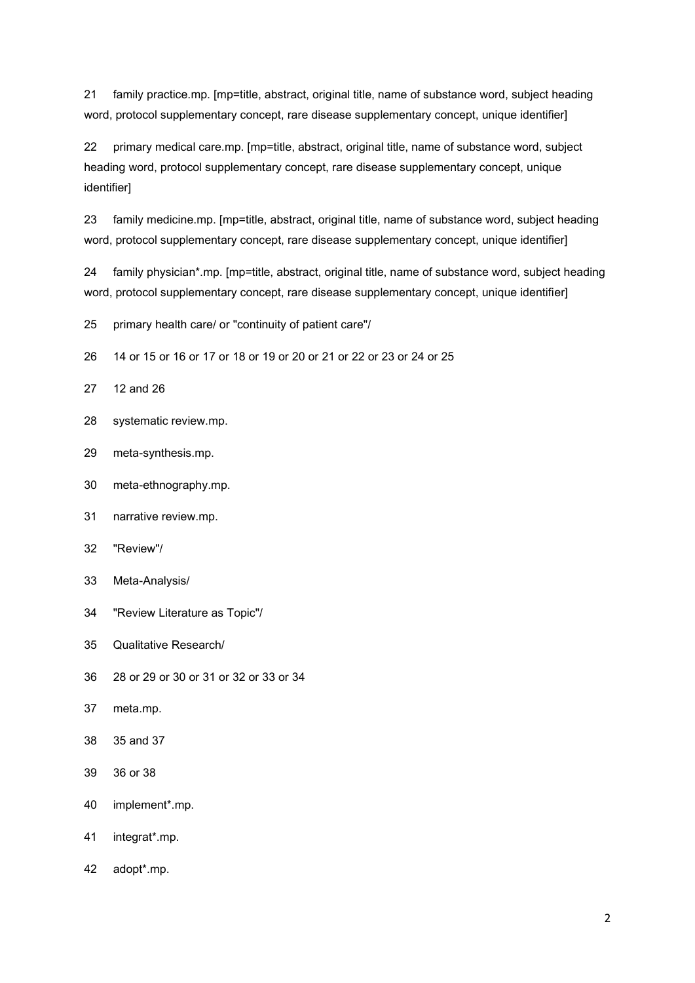21 family practice.mp. [mp=title, abstract, original title, name of substance word, subject heading word, protocol supplementary concept, rare disease supplementary concept, unique identifier]

22 primary medical care.mp. [mp=title, abstract, original title, name of substance word, subject heading word, protocol supplementary concept, rare disease supplementary concept, unique identifier]

23 family medicine.mp. [mp=title, abstract, original title, name of substance word, subject heading word, protocol supplementary concept, rare disease supplementary concept, unique identifier]

24 family physician\*.mp. [mp=title, abstract, original title, name of substance word, subject heading word, protocol supplementary concept, rare disease supplementary concept, unique identifier]

25 primary health care/ or "continuity of patient care"/

26 14 or 15 or 16 or 17 or 18 or 19 or 20 or 21 or 22 or 23 or 24 or 25

- 27 12 and 26
- 28 systematic review.mp.
- 29 meta-synthesis.mp.
- 30 meta-ethnography.mp.
- 31 narrative review.mp.
- 32 "Review"/
- 33 Meta-Analysis/
- 34 "Review Literature as Topic"/
- 35 Qualitative Research/
- 36 28 or 29 or 30 or 31 or 32 or 33 or 34
- 37 meta.mp.
- 38 35 and 37
- 39 36 or 38
- 40 implement\*.mp.
- 41 integrat\*.mp.
- 42 adopt\*.mp.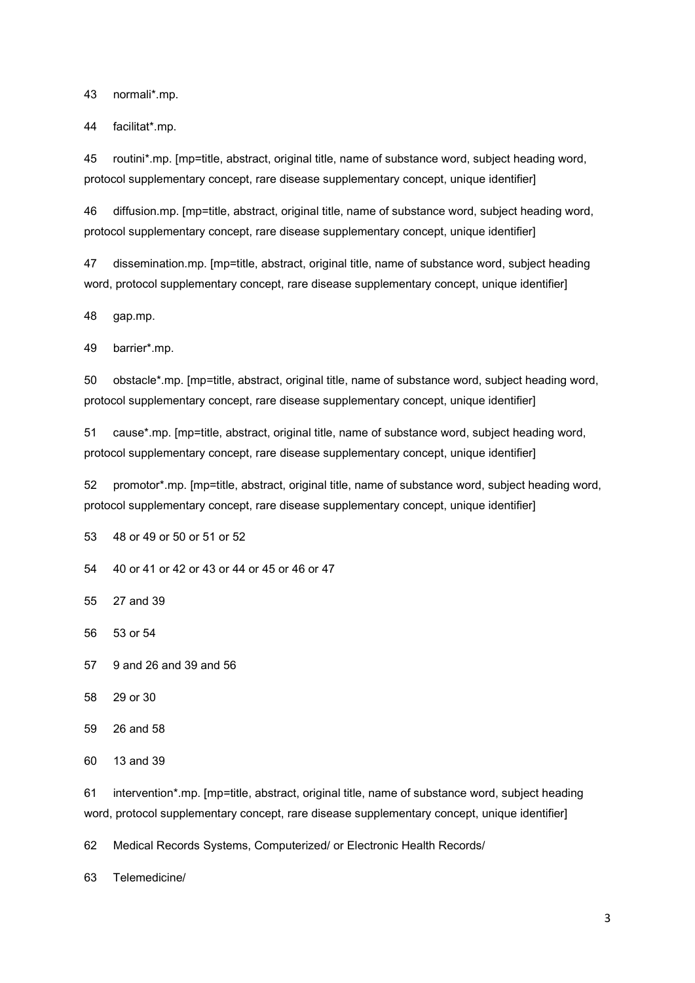43 normali\*.mp.

44 facilitat\*.mp.

45 routini\*.mp. [mp=title, abstract, original title, name of substance word, subject heading word, protocol supplementary concept, rare disease supplementary concept, unique identifier]

46 diffusion.mp. [mp=title, abstract, original title, name of substance word, subject heading word, protocol supplementary concept, rare disease supplementary concept, unique identifier]

47 dissemination.mp. [mp=title, abstract, original title, name of substance word, subject heading word, protocol supplementary concept, rare disease supplementary concept, unique identifier]

48 gap.mp.

49 barrier\*.mp.

50 obstacle\*.mp. [mp=title, abstract, original title, name of substance word, subject heading word, protocol supplementary concept, rare disease supplementary concept, unique identifier]

51 cause\*.mp. [mp=title, abstract, original title, name of substance word, subject heading word, protocol supplementary concept, rare disease supplementary concept, unique identifier]

52 promotor\*.mp. [mp=title, abstract, original title, name of substance word, subject heading word, protocol supplementary concept, rare disease supplementary concept, unique identifier]

53 48 or 49 or 50 or 51 or 52

54 40 or 41 or 42 or 43 or 44 or 45 or 46 or 47

55 27 and 39

56 53 or 54

57 9 and 26 and 39 and 56

58 29 or 30

59 26 and 58

60 13 and 39

61 intervention\*.mp. [mp=title, abstract, original title, name of substance word, subject heading word, protocol supplementary concept, rare disease supplementary concept, unique identifier]

62 Medical Records Systems, Computerized/ or Electronic Health Records/

63 Telemedicine/